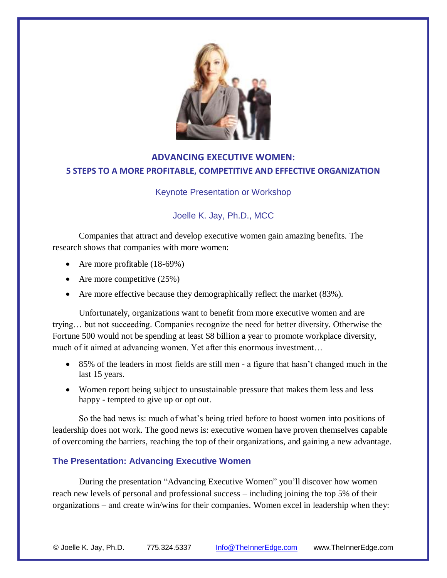

# **ADVANCING EXECUTIVE WOMEN: 5 STEPS TO A MORE PROFITABLE, COMPETITIVE AND EFFECTIVE ORGANIZATION**

### Keynote Presentation or Workshop

## Joelle K. Jay, Ph.D., MCC

Companies that attract and develop executive women gain amazing benefits. The research shows that companies with more women:

- Are more profitable (18-69%)
- Are more competitive  $(25%)$
- Are more effective because they demographically reflect the market (83%).

Unfortunately, organizations want to benefit from more executive women and are trying… but not succeeding. Companies recognize the need for better diversity. Otherwise the Fortune 500 would not be spending at least \$8 billion a year to promote workplace diversity, much of it aimed at advancing women. Yet after this enormous investment…

- 85% of the leaders in most fields are still men a figure that hasn't changed much in the last 15 years.
- Women report being subject to unsustainable pressure that makes them less and less happy - tempted to give up or opt out.

So the bad news is: much of what's being tried before to boost women into positions of leadership does not work. The good news is: executive women have proven themselves capable of overcoming the barriers, reaching the top of their organizations, and gaining a new advantage.

#### **The Presentation: Advancing Executive Women**

During the presentation "Advancing Executive Women" you'll discover how women reach new levels of personal and professional success – including joining the top 5% of their organizations – and create win/wins for their companies. Women excel in leadership when they: